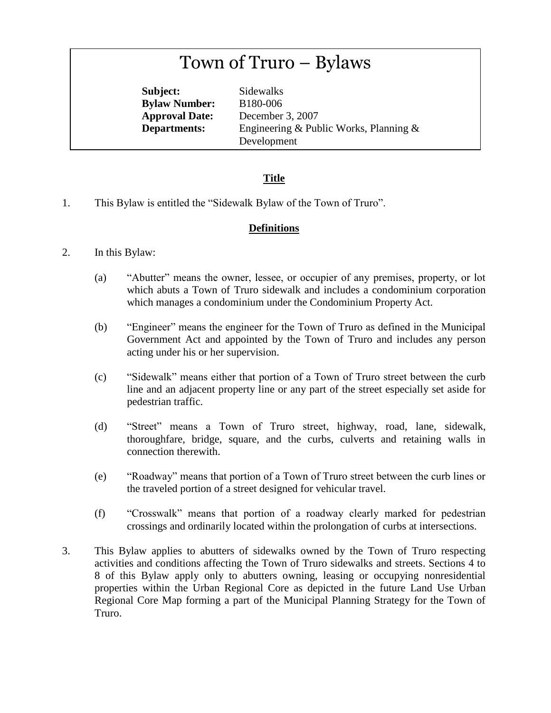# Town of Truro – Bylaws

**Subject:** Sidewalks **Bylaw Number:** B180-006

**Approval Date:** December 3, 2007 **Departments:** Engineering & Public Works, Planning & Development

## **Title**

1. This Bylaw is entitled the "Sidewalk Bylaw of the Town of Truro".

### **Definitions**

- 2. In this Bylaw:
	- (a) "Abutter" means the owner, lessee, or occupier of any premises, property, or lot which abuts a Town of Truro sidewalk and includes a condominium corporation which manages a condominium under the Condominium Property Act.
	- (b) "Engineer" means the engineer for the Town of Truro as defined in the Municipal Government Act and appointed by the Town of Truro and includes any person acting under his or her supervision.
	- (c) "Sidewalk" means either that portion of a Town of Truro street between the curb line and an adjacent property line or any part of the street especially set aside for pedestrian traffic.
	- (d) "Street" means a Town of Truro street, highway, road, lane, sidewalk, thoroughfare, bridge, square, and the curbs, culverts and retaining walls in connection therewith.
	- (e) "Roadway" means that portion of a Town of Truro street between the curb lines or the traveled portion of a street designed for vehicular travel.
	- (f) "Crosswalk" means that portion of a roadway clearly marked for pedestrian crossings and ordinarily located within the prolongation of curbs at intersections.
- 3. This Bylaw applies to abutters of sidewalks owned by the Town of Truro respecting activities and conditions affecting the Town of Truro sidewalks and streets. Sections 4 to 8 of this Bylaw apply only to abutters owning, leasing or occupying nonresidential properties within the Urban Regional Core as depicted in the future Land Use Urban Regional Core Map forming a part of the Municipal Planning Strategy for the Town of Truro.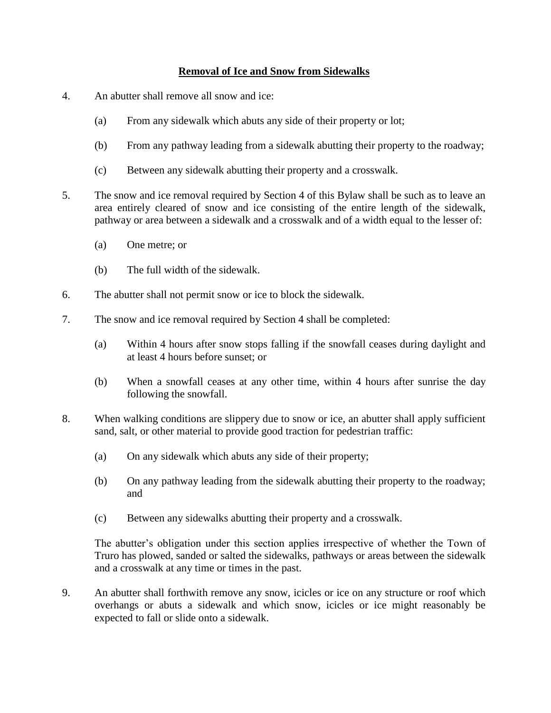#### **Removal of Ice and Snow from Sidewalks**

- 4. An abutter shall remove all snow and ice:
	- (a) From any sidewalk which abuts any side of their property or lot;
	- (b) From any pathway leading from a sidewalk abutting their property to the roadway;
	- (c) Between any sidewalk abutting their property and a crosswalk.
- 5. The snow and ice removal required by Section 4 of this Bylaw shall be such as to leave an area entirely cleared of snow and ice consisting of the entire length of the sidewalk, pathway or area between a sidewalk and a crosswalk and of a width equal to the lesser of:
	- (a) One metre; or
	- (b) The full width of the sidewalk.
- 6. The abutter shall not permit snow or ice to block the sidewalk.
- 7. The snow and ice removal required by Section 4 shall be completed:
	- (a) Within 4 hours after snow stops falling if the snowfall ceases during daylight and at least 4 hours before sunset; or
	- (b) When a snowfall ceases at any other time, within 4 hours after sunrise the day following the snowfall.
- 8. When walking conditions are slippery due to snow or ice, an abutter shall apply sufficient sand, salt, or other material to provide good traction for pedestrian traffic:
	- (a) On any sidewalk which abuts any side of their property;
	- (b) On any pathway leading from the sidewalk abutting their property to the roadway; and
	- (c) Between any sidewalks abutting their property and a crosswalk.

The abutter's obligation under this section applies irrespective of whether the Town of Truro has plowed, sanded or salted the sidewalks, pathways or areas between the sidewalk and a crosswalk at any time or times in the past.

9. An abutter shall forthwith remove any snow, icicles or ice on any structure or roof which overhangs or abuts a sidewalk and which snow, icicles or ice might reasonably be expected to fall or slide onto a sidewalk.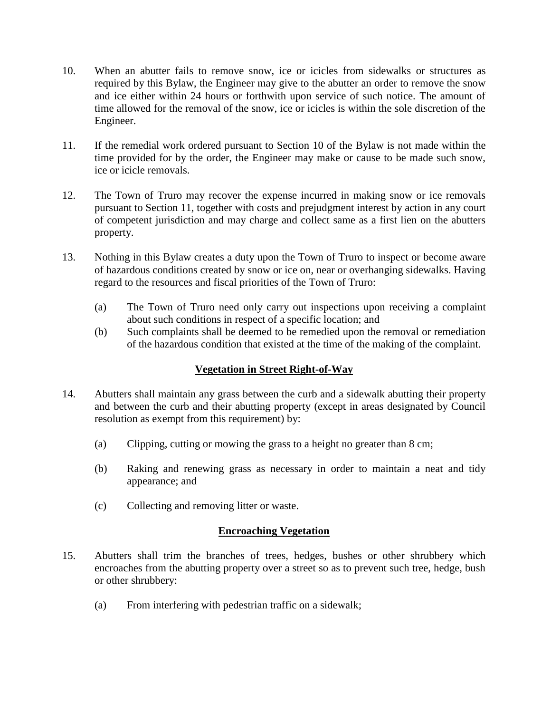- 10. When an abutter fails to remove snow, ice or icicles from sidewalks or structures as required by this Bylaw, the Engineer may give to the abutter an order to remove the snow and ice either within 24 hours or forthwith upon service of such notice. The amount of time allowed for the removal of the snow, ice or icicles is within the sole discretion of the Engineer.
- 11. If the remedial work ordered pursuant to Section 10 of the Bylaw is not made within the time provided for by the order, the Engineer may make or cause to be made such snow, ice or icicle removals.
- 12. The Town of Truro may recover the expense incurred in making snow or ice removals pursuant to Section 11, together with costs and prejudgment interest by action in any court of competent jurisdiction and may charge and collect same as a first lien on the abutters property.
- 13. Nothing in this Bylaw creates a duty upon the Town of Truro to inspect or become aware of hazardous conditions created by snow or ice on, near or overhanging sidewalks. Having regard to the resources and fiscal priorities of the Town of Truro:
	- (a) The Town of Truro need only carry out inspections upon receiving a complaint about such conditions in respect of a specific location; and
	- (b) Such complaints shall be deemed to be remedied upon the removal or remediation of the hazardous condition that existed at the time of the making of the complaint.

#### **Vegetation in Street Right-of-Way**

- 14. Abutters shall maintain any grass between the curb and a sidewalk abutting their property and between the curb and their abutting property (except in areas designated by Council resolution as exempt from this requirement) by:
	- (a) Clipping, cutting or mowing the grass to a height no greater than 8 cm;
	- (b) Raking and renewing grass as necessary in order to maintain a neat and tidy appearance; and
	- (c) Collecting and removing litter or waste.

#### **Encroaching Vegetation**

- 15. Abutters shall trim the branches of trees, hedges, bushes or other shrubbery which encroaches from the abutting property over a street so as to prevent such tree, hedge, bush or other shrubbery:
	- (a) From interfering with pedestrian traffic on a sidewalk;